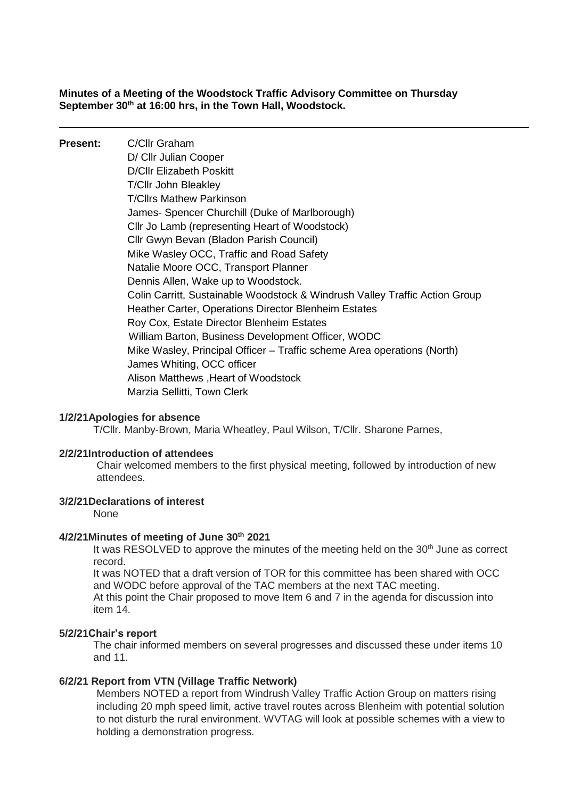**Minutes of a Meeting of the Woodstock Traffic Advisory Committee on Thursday September 30th at 16:00 hrs, in the Town Hall, Woodstock.**

**Present:** C/Cllr Graham D/ Cllr Julian Cooper D/Cllr Elizabeth Poskitt T/Cllr John Bleakley T/Cllrs Mathew Parkinson James- Spencer Churchill (Duke of Marlborough) Cllr Jo Lamb (representing Heart of Woodstock) Cllr Gwyn Bevan (Bladon Parish Council) Mike Wasley OCC, Traffic and Road Safety Natalie Moore OCC, Transport Planner Dennis Allen, Wake up to Woodstock. Colin Carritt, Sustainable Woodstock & Windrush Valley Traffic Action Group Heather Carter, Operations Director Blenheim Estates Roy Cox, Estate Director Blenheim Estates William Barton, Business Development Officer, WODC Mike Wasley, Principal Officer – Traffic scheme Area operations (North) James Whiting, OCC officer Alison Matthews ,Heart of Woodstock Marzia Sellitti, Town Clerk

#### **1/2/21Apologies for absence**

T/Cllr. Manby-Brown, Maria Wheatley, Paul Wilson, T/Cllr. Sharone Parnes,

#### **2/2/21Introduction of attendees**

Chair welcomed members to the first physical meeting, followed by introduction of new attendees.

## **3/2/21Declarations of interest**

None

#### **4/2/21Minutes of meeting of June 30th 2021**

It was RESOLVED to approve the minutes of the meeting held on the  $30<sup>th</sup>$  June as correct record.

It was NOTED that a draft version of TOR for this committee has been shared with OCC and WODC before approval of the TAC members at the next TAC meeting.

At this point the Chair proposed to move Item 6 and 7 in the agenda for discussion into item 14.

#### **5/2/21Chair's report**

The chair informed members on several progresses and discussed these under items 10 and 11.

#### **6/2/21 Report from VTN (Village Traffic Network)**

Members NOTED a report from Windrush Valley Traffic Action Group on matters rising including 20 mph speed limit, active travel routes across Blenheim with potential solution to not disturb the rural environment. WVTAG will look at possible schemes with a view to holding a demonstration progress.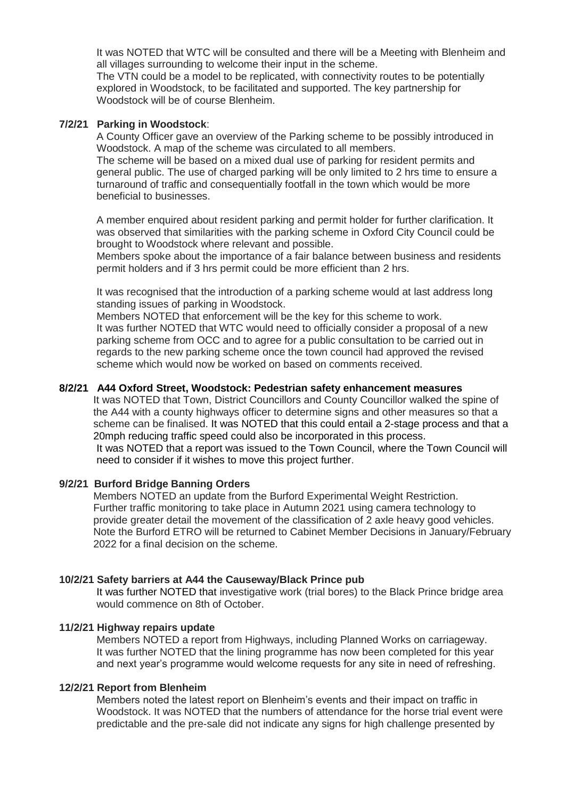It was NOTED that WTC will be consulted and there will be a Meeting with Blenheim and all villages surrounding to welcome their input in the scheme.

The VTN could be a model to be replicated, with connectivity routes to be potentially explored in Woodstock, to be facilitated and supported. The key partnership for Woodstock will be of course Blenheim.

## **7/2/21 Parking in Woodstock**:

A County Officer gave an overview of the Parking scheme to be possibly introduced in Woodstock. A map of the scheme was circulated to all members. The scheme will be based on a mixed dual use of parking for resident permits and general public. The use of charged parking will be only limited to 2 hrs time to ensure a turnaround of traffic and consequentially footfall in the town which would be more beneficial to businesses.

A member enquired about resident parking and permit holder for further clarification. It was observed that similarities with the parking scheme in Oxford City Council could be brought to Woodstock where relevant and possible.

Members spoke about the importance of a fair balance between business and residents permit holders and if 3 hrs permit could be more efficient than 2 hrs.

It was recognised that the introduction of a parking scheme would at last address long standing issues of parking in Woodstock.

Members NOTED that enforcement will be the key for this scheme to work. It was further NOTED that WTC would need to officially consider a proposal of a new parking scheme from OCC and to agree for a public consultation to be carried out in regards to the new parking scheme once the town council had approved the revised scheme which would now be worked on based on comments received.

## **8/2/21 A44 Oxford Street, Woodstock: Pedestrian safety enhancement measures**

It was NOTED that Town, District Councillors and County Councillor walked the spine of the A44 with a county highways officer to determine signs and other measures so that a scheme can be finalised. It was NOTED that this could entail a 2-stage process and that a 20mph reducing traffic speed could also be incorporated in this process. It was NOTED that a report was issued to the Town Council, where the Town Council will need to consider if it wishes to move this project further.

## **9/2/21 Burford Bridge Banning Orders**

Members NOTED an update from the Burford Experimental Weight Restriction. Further traffic monitoring to take place in Autumn 2021 using camera technology to provide greater detail the movement of the classification of 2 axle heavy good vehicles. Note the Burford ETRO will be returned to Cabinet Member Decisions in January/February 2022 for a final decision on the scheme.

# **10/2/21 Safety barriers at A44 the Causeway/Black Prince pub**

It was further NOTED that investigative work (trial bores) to the Black Prince bridge area would commence on 8th of October.

## **11/2/21 Highway repairs update**

Members NOTED a report from Highways, including Planned Works on carriageway. It was further NOTED that the lining programme has now been completed for this year and next year's programme would welcome requests for any site in need of refreshing.

## **12/2/21 Report from Blenheim**

Members noted the latest report on Blenheim's events and their impact on traffic in Woodstock. It was NOTED that the numbers of attendance for the horse trial event were predictable and the pre-sale did not indicate any signs for high challenge presented by